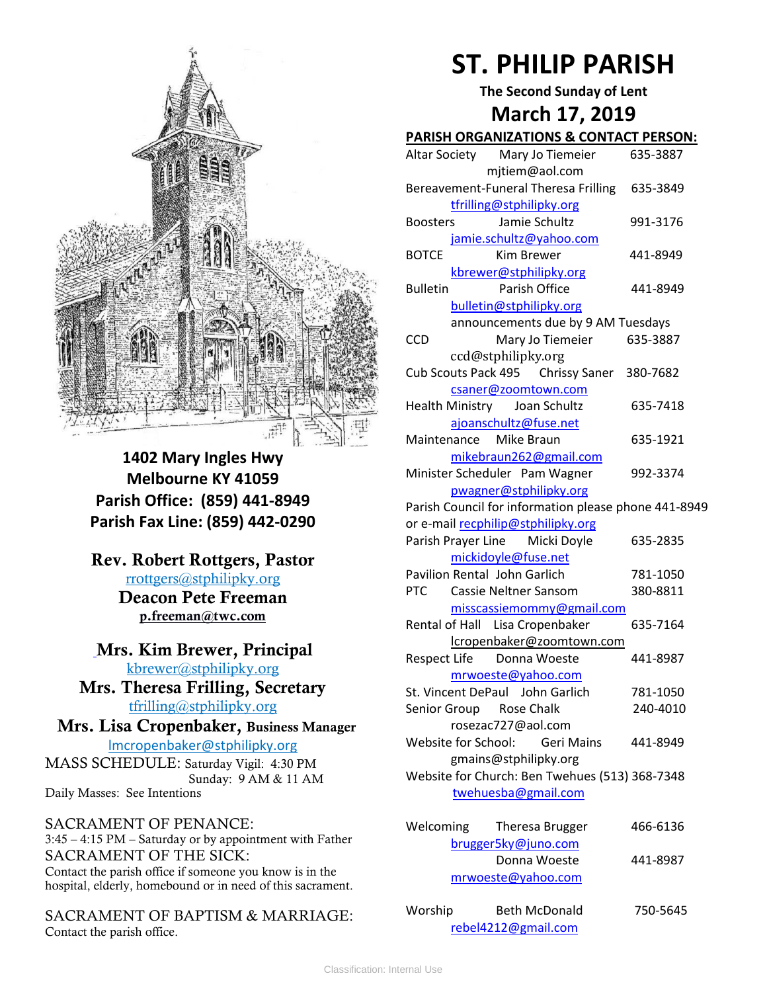

**1402 Mary Ingles Hwy Melbourne KY 41059 Parish Office: (859) 441-8949 Parish Fax Line: (859) 442-0290**

**Rev. Robert Rottgers, Pastor**  [rrottgers@stphilipky.org](mailto:rrottgers@stphilipky.org) **Deacon Pete Freeman p.freeman@twc.com**

**Mrs. Kim Brewer, Principal**  [kbrewer@stphilipky.org](mailto:kbrewer@stphilipky.org) **Mrs. Theresa Frilling, Secretary** 

[tfrilling@stphilipky.org](mailto:tfrilling@stphilipky.org)

 **Mrs. Lisa Cropenbaker, Business Manager**  lmcropenbaker@stphilipky.org

MASS SCHEDULE: Saturday Vigil: 4:30 PM Sunday: 9 AM & 11 AM Daily Masses: See Intentions

SACRAMENT OF PENANCE: 3:45 – 4:15 PM – Saturday or by appointment with Father SACRAMENT OF THE SICK: Contact the parish office if someone you know is in the hospital, elderly, homebound or in need of this sacrament.

SACRAMENT OF BAPTISM & MARRIAGE: Contact the parish office.

# **ST. PHILIP PARISH**

**The Second Sunday of Lent**

# **March 17, 2019**

| <b>PARISH ORGANIZATIONS &amp; CONTACT PERSON:</b>    |  |  |  |  |
|------------------------------------------------------|--|--|--|--|
| Altar Society<br>Mary Jo Tiemeier<br>635-3887        |  |  |  |  |
| mjtiem@aol.com                                       |  |  |  |  |
| Bereavement-Funeral Theresa Frilling<br>635-3849     |  |  |  |  |
| tfrilling@stphilipky.org                             |  |  |  |  |
| Jamie Schultz<br>991-3176<br><b>Boosters</b>         |  |  |  |  |
| jamie.schultz@yahoo.com                              |  |  |  |  |
| <b>BOTCE</b><br>441-8949<br><b>Kim Brewer</b>        |  |  |  |  |
| kbrewer@stphilipky.org                               |  |  |  |  |
| Parish Office<br><b>Bulletin</b><br>441-8949         |  |  |  |  |
| bulletin@stphilipky.org                              |  |  |  |  |
| announcements due by 9 AM Tuesdays                   |  |  |  |  |
| <b>CCD</b><br>Mary Jo Tiemeier<br>635-3887           |  |  |  |  |
| ccd@stphilipky.org                                   |  |  |  |  |
| Cub Scouts Pack 495 Chrissy Saner<br>380-7682        |  |  |  |  |
| csaner@zoomtown.com                                  |  |  |  |  |
| Health Ministry Joan Schultz<br>635-7418             |  |  |  |  |
| ajoanschultz@fuse.net                                |  |  |  |  |
| Maintenance Mike Braun<br>635-1921                   |  |  |  |  |
| mikebraun262@gmail.com                               |  |  |  |  |
| Minister Scheduler Pam Wagner<br>992-3374            |  |  |  |  |
| pwagner@stphilipky.org                               |  |  |  |  |
| Parish Council for information please phone 441-8949 |  |  |  |  |
| or e-mail recphilip@stphilipky.org                   |  |  |  |  |
| Parish Prayer Line Micki Doyle<br>635-2835           |  |  |  |  |
| mickidoyle@fuse.net                                  |  |  |  |  |
| Pavilion Rental John Garlich<br>781-1050             |  |  |  |  |
| <b>PTC</b><br>Cassie Neltner Sansom<br>380-8811      |  |  |  |  |
| misscassiemommy@gmail.com                            |  |  |  |  |
| Rental of Hall Lisa Cropenbaker<br>635-7164          |  |  |  |  |
| lcropenbaker@zoomtown.com                            |  |  |  |  |
| Respect Life Donna Woeste<br>441-8987                |  |  |  |  |
| mrwoeste@yahoo.com                                   |  |  |  |  |
| St. Vincent DePaul John Garlich<br>781-1050          |  |  |  |  |
| Senior Group Rose Chalk<br>240-4010                  |  |  |  |  |
| rosezac727@aol.com                                   |  |  |  |  |
| Website for School:<br><b>Geri Mains</b><br>441-8949 |  |  |  |  |
| gmains@stphilipky.org                                |  |  |  |  |
| Website for Church: Ben Twehues (513) 368-7348       |  |  |  |  |
| twehuesba@gmail.com                                  |  |  |  |  |
|                                                      |  |  |  |  |
| Welcoming<br>Theresa Brugger<br>466-6136             |  |  |  |  |
| brugger5ky@juno.com                                  |  |  |  |  |
| Donna Woeste<br>441-8987                             |  |  |  |  |
| mrwoeste@yahoo.com                                   |  |  |  |  |
|                                                      |  |  |  |  |

| Worship | <b>Beth McDonald</b> | 750-5645 |
|---------|----------------------|----------|
|         | rebel4212@gmail.com  |          |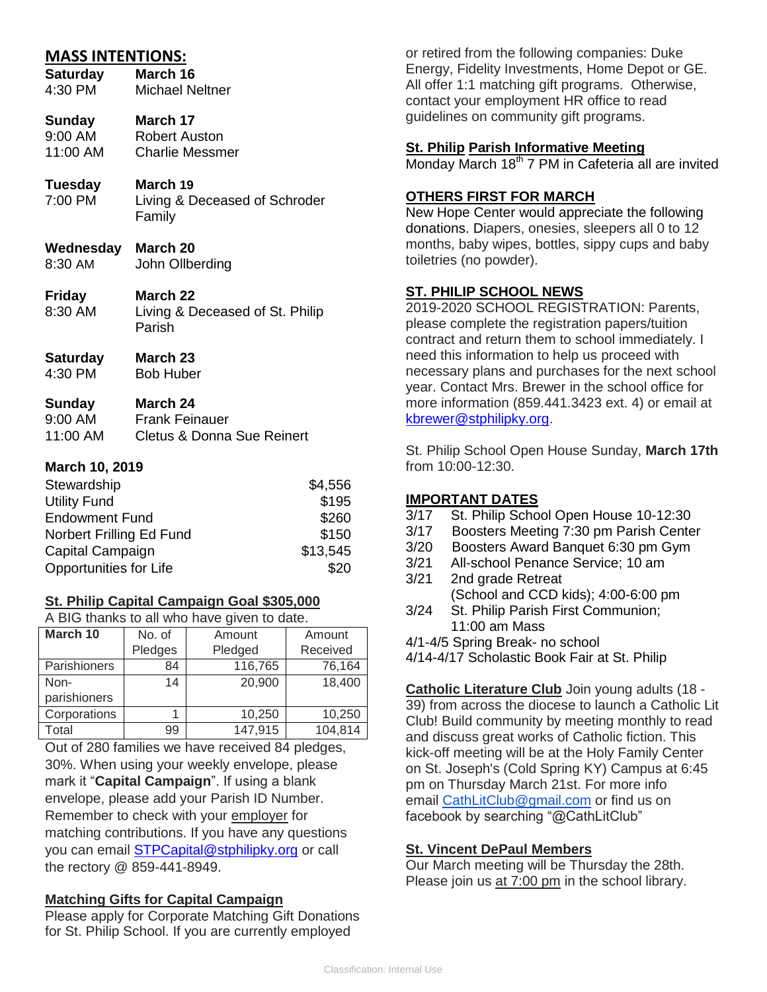# **MASS INTENTIONS:**

| <b>Saturday</b> | March 16               |
|-----------------|------------------------|
| 4:30 PM         | <b>Michael Neltner</b> |
|                 |                        |

# **Sunday March 17**

9:00 AM Robert Auston<br>11:00 AM Charlie Messm Charlie Messmer

# **Tuesday March 19**

7:00 PM Living & Deceased of Schroder Family

- **Wednesday March 20**
- 8:30 AM John Ollberding
- **Friday March 22** 8:30 AM Living & Deceased of St. Philip Parish
- **Saturday March 23** 4:30 PM Bob Huber

## **Sunday March 24**

| 9:00 AM  | <b>Frank Feinauer</b>                 |
|----------|---------------------------------------|
| 11:00 AM | <b>Cletus &amp; Donna Sue Reinert</b> |

## **March 10, 2019**

| Stewardship              | \$4,556  |
|--------------------------|----------|
| <b>Utility Fund</b>      | \$195    |
| <b>Endowment Fund</b>    | \$260    |
| Norbert Frilling Ed Fund | \$150    |
| Capital Campaign         | \$13,545 |
| Opportunities for Life   | \$20     |

# **St. Philip Capital Campaign Goal \$305,000**

A BIG thanks to all who have given to date.

| March 10            | No. of  | Amount  | Amount   |
|---------------------|---------|---------|----------|
|                     | Pledges | Pledged | Received |
| <b>Parishioners</b> | 84      | 116,765 | 76,164   |
| Non-                | 14      | 20,900  | 18,400   |
| parishioners        |         |         |          |
| Corporations        |         | 10,250  | 10,250   |
| Total               | 99      | 147,915 | 104,814  |

Out of 280 families we have received 84 pledges, 30%. When using your weekly envelope, please mark it "**Capital Campaign**". If using a blank envelope, please add your Parish ID Number. Remember to check with your employer for matching contributions. If you have any questions you can email [STPCapital@stphilipky.org](mailto:STPCapital@stphilipky.org) or call the rectory @ 859-441-8949.

# **Matching Gifts for Capital Campaign**

Please apply for Corporate Matching Gift Donations for St. Philip School. If you are currently employed

or retired from the following companies: Duke Energy, Fidelity Investments, Home Depot or GE. All offer 1:1 matching gift programs. Otherwise, contact your employment HR office to read guidelines on community gift programs.

## **St. Philip Parish Informative Meeting**

Monday March  $18<sup>th</sup>$  7 PM in Cafeteria all are invited

# **OTHERS FIRST FOR MARCH**

New Hope Center would appreciate the following donations. Diapers, onesies, sleepers all 0 to 12 months, baby wipes, bottles, sippy cups and baby toiletries (no powder).

# **ST. PHILIP SCHOOL NEWS**

2019-2020 SCHOOL REGISTRATION: Parents, please complete the registration papers/tuition contract and return them to school immediately. I need this information to help us proceed with necessary plans and purchases for the next school year. Contact Mrs. Brewer in the school office for more information (859.441.3423 ext. 4) or email at [kbrewer@stphilipky.org.](mailto:kbrewer@stphilipky.org)

St. Philip School Open House Sunday, **March 17th** from 10:00-12:30.

## **IMPORTANT DATES**

- 3/17 St. Philip School Open House 10-12:30
- 3/17 Boosters Meeting 7:30 pm Parish Center
- 3/20 Boosters Award Banquet 6:30 pm Gym
- 3/21 All-school Penance Service; 10 am
- 3/21 2nd grade Retreat (School and CCD kids); 4:00-6:00 pm
- 3/24 St. Philip Parish First Communion; 11:00 am Mass

4/1-4/5 Spring Break- no school

4/14-4/17 Scholastic Book Fair at St. Philip

**Catholic Literature Club** Join young adults (18 - 39) from across the diocese to launch a Catholic Lit Club! Build community by meeting monthly to read and discuss great works of Catholic fiction. This kick-off meeting will be at the Holy Family Center on St. Joseph's (Cold Spring KY) Campus at 6:45 pm on Thursday March 21st. For more info email [CathLitClub@gmail.com](mailto:CathLitClub@gmail.com) or find us on facebook by searching "@CathLitClub"

# **St. Vincent DePaul Members**

Our March meeting will be Thursday the 28th. Please join us at 7:00 pm in the school library.